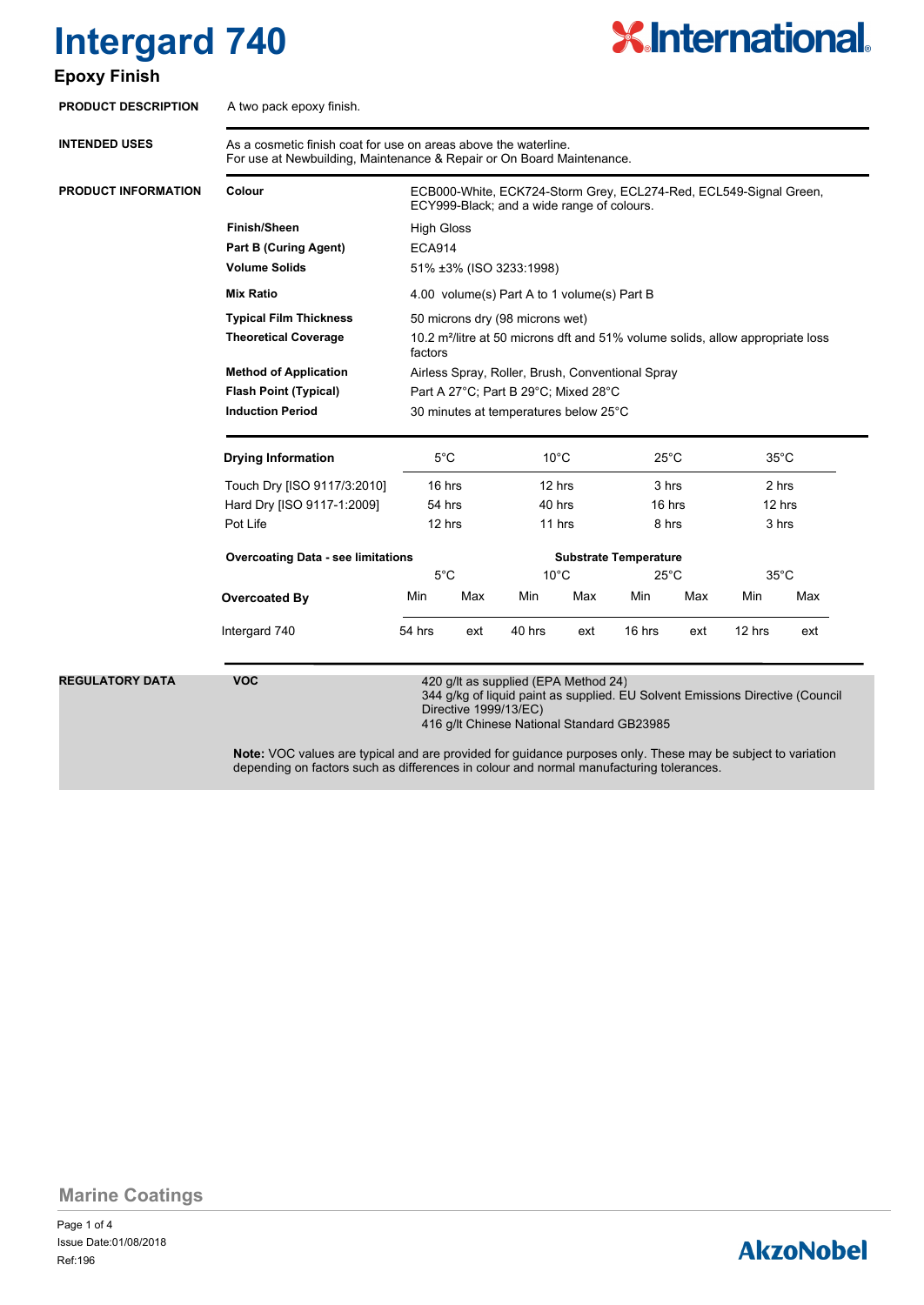# **Intergard 740**

#### **Epoxy Finish**



| As a cosmetic finish coat for use on areas above the waterline.<br>For use at Newbuilding, Maintenance & Repair or On Board Maintenance. |                                                                                                                                                                                                                                            |     |                                              |     |                                            |     |                                            |                                                                                                                               |
|------------------------------------------------------------------------------------------------------------------------------------------|--------------------------------------------------------------------------------------------------------------------------------------------------------------------------------------------------------------------------------------------|-----|----------------------------------------------|-----|--------------------------------------------|-----|--------------------------------------------|-------------------------------------------------------------------------------------------------------------------------------|
| Colour                                                                                                                                   | ECB000-White, ECK724-Storm Grey, ECL274-Red, ECL549-Signal Green,<br>ECY999-Black; and a wide range of colours.                                                                                                                            |     |                                              |     |                                            |     |                                            |                                                                                                                               |
| <b>Finish/Sheen</b>                                                                                                                      | <b>High Gloss</b>                                                                                                                                                                                                                          |     |                                              |     |                                            |     |                                            |                                                                                                                               |
| <b>Part B (Curing Agent)</b>                                                                                                             | <b>ECA914</b>                                                                                                                                                                                                                              |     |                                              |     |                                            |     |                                            |                                                                                                                               |
| <b>Volume Solids</b>                                                                                                                     | 51% ±3% (ISO 3233:1998)                                                                                                                                                                                                                    |     |                                              |     |                                            |     |                                            |                                                                                                                               |
| <b>Mix Ratio</b>                                                                                                                         | 4.00 volume(s) Part A to 1 volume(s) Part B                                                                                                                                                                                                |     |                                              |     |                                            |     |                                            |                                                                                                                               |
| <b>Typical Film Thickness</b>                                                                                                            | 50 microns dry (98 microns wet)                                                                                                                                                                                                            |     |                                              |     |                                            |     |                                            |                                                                                                                               |
| <b>Theoretical Coverage</b>                                                                                                              | 10.2 m <sup>2</sup> /litre at 50 microns dft and 51% volume solids, allow appropriate loss<br>factors<br>Airless Spray, Roller, Brush, Conventional Spray<br>Part A 27°C; Part B 29°C; Mixed 28°C<br>30 minutes at temperatures below 25°C |     |                                              |     |                                            |     |                                            |                                                                                                                               |
| <b>Method of Application</b>                                                                                                             |                                                                                                                                                                                                                                            |     |                                              |     |                                            |     |                                            |                                                                                                                               |
| <b>Flash Point (Typical)</b>                                                                                                             |                                                                                                                                                                                                                                            |     |                                              |     |                                            |     |                                            |                                                                                                                               |
| <b>Induction Period</b>                                                                                                                  |                                                                                                                                                                                                                                            |     |                                              |     |                                            |     |                                            |                                                                                                                               |
| <b>Drying Information</b>                                                                                                                | $5^{\circ}$ C<br>16 hrs<br>54 hrs<br>12 hrs                                                                                                                                                                                                |     | $10^{\circ}$ C<br>12 hrs<br>40 hrs<br>11 hrs |     | $25^{\circ}$ C<br>3 hrs<br>16 hrs<br>8 hrs |     | $35^{\circ}$ C<br>2 hrs<br>12 hrs<br>3 hrs |                                                                                                                               |
|                                                                                                                                          |                                                                                                                                                                                                                                            |     |                                              |     |                                            |     |                                            |                                                                                                                               |
| Hard Dry [ISO 9117-1:2009]                                                                                                               |                                                                                                                                                                                                                                            |     |                                              |     |                                            |     |                                            |                                                                                                                               |
| Pot Life                                                                                                                                 |                                                                                                                                                                                                                                            |     |                                              |     |                                            |     |                                            |                                                                                                                               |
| <b>Overcoating Data - see limitations</b>                                                                                                |                                                                                                                                                                                                                                            |     | <b>Substrate Temperature</b>                 |     |                                            |     |                                            |                                                                                                                               |
|                                                                                                                                          |                                                                                                                                                                                                                                            |     |                                              |     |                                            |     |                                            |                                                                                                                               |
| Overcoated By                                                                                                                            | Min                                                                                                                                                                                                                                        | Max | Min                                          | Max | Min                                        | Max | Min                                        | Max                                                                                                                           |
| Intergard 740                                                                                                                            | 54 hrs                                                                                                                                                                                                                                     | ext | 40 hrs                                       | ext | 16 hrs                                     | ext | 12 hrs                                     | ext                                                                                                                           |
| <b>VOC</b>                                                                                                                               | 420 q/lt as supplied (EPA Method 24)<br>344 g/kg of liquid paint as supplied. EU Solvent Emissions Directive (Council<br>Directive 1999/13/EC)<br>416 g/lt Chinese National Standard GB23985                                               |     |                                              |     |                                            |     |                                            |                                                                                                                               |
|                                                                                                                                          | Touch Dry [ISO 9117/3:2010]                                                                                                                                                                                                                |     | $5^{\circ}$ C                                |     | $10^{\circ}$ C                             |     | $25^{\circ}$ C                             | $35^{\circ}$ C<br>Note: VOC values are typical and are provided for guidance purposes only. These may be subject to variation |

**Marine Coatings**

Page 1 of 4 Ref:196 Issue Date:01/08/2018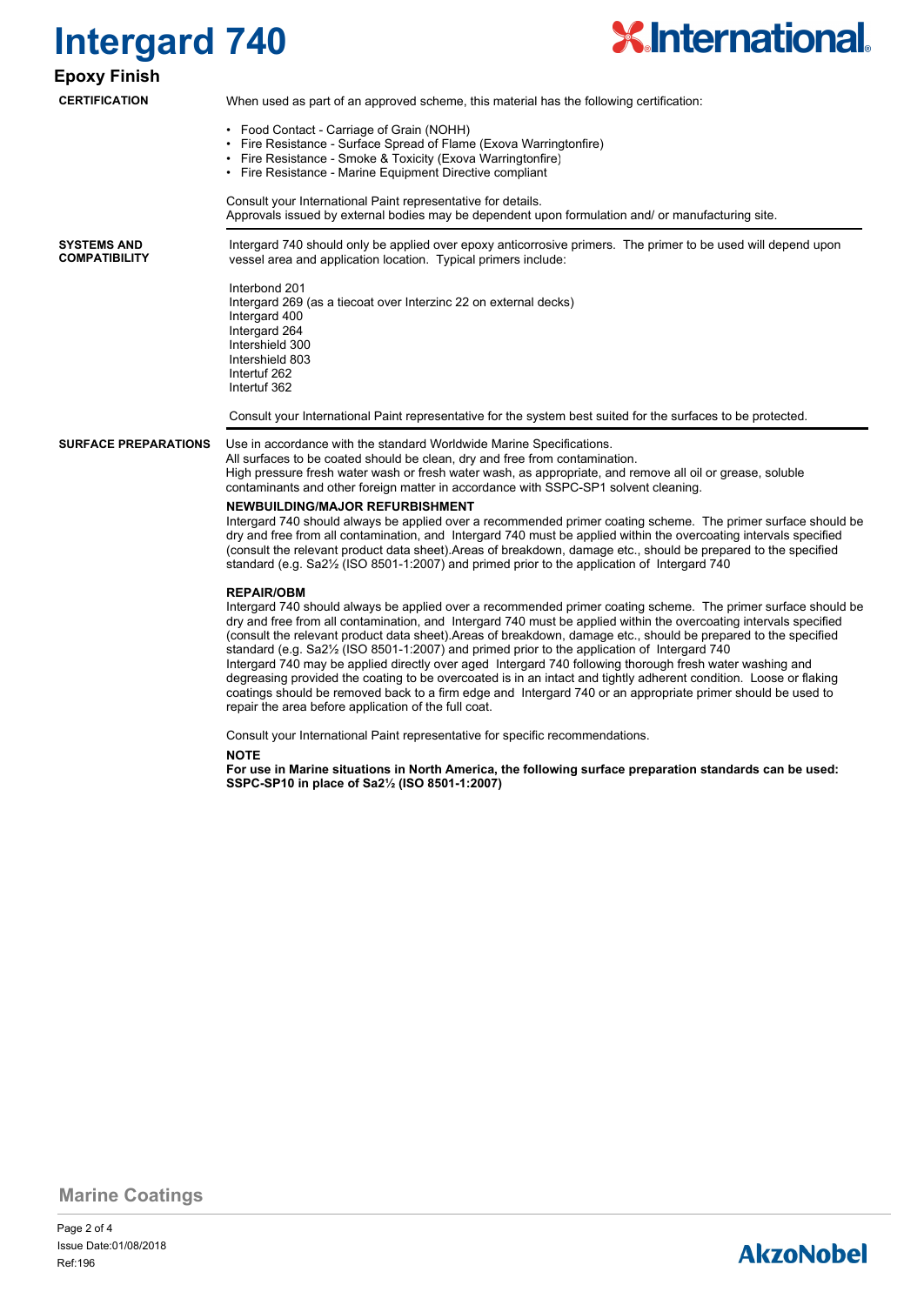## **Intergard 740**



**Epoxy Finish CERTIFICATION**

#### When used as part of an approved scheme, this material has the following certification:

- Food Contact Carriage of Grain (NOHH)
- Fire Resistance Surface Spread of Flame (Exova Warringtonfire)
- Fire Resistance Smoke & Toxicity (Exova Warringtonfire)
- Fire Resistance Marine Equipment Directive compliant

Consult your International Paint representative for details. Approvals issued by external bodies may be dependent upon formulation and/ or manufacturing site.

**SYSTEMS AND COMPATIBILITY** Intergard 740 should only be applied over epoxy anticorrosive primers. The primer to be used will depend upon vessel area and application location. Typical primers include:

Interbond 201 Intergard 269 (as a tiecoat over Interzinc 22 on external decks) Intergard 400 Intergard 264 Intershield 300 Intershield 803 Intertuf 262 Intertuf 362

Consult your International Paint representative for the system best suited for the surfaces to be protected.

**SURFACE PREPARATIONS**

Use in accordance with the standard Worldwide Marine Specifications. All surfaces to be coated should be clean, dry and free from contamination. High pressure fresh water wash or fresh water wash, as appropriate, and remove all oil or grease, soluble contaminants and other foreign matter in accordance with SSPC-SP1 solvent cleaning.

#### **NEWBUILDING/MAJOR REFURBISHMENT**

repair the area before application of the full coat.

Intergard 740 should always be applied over a recommended primer coating scheme. The primer surface should be dry and free from all contamination, and Intergard 740 must be applied within the overcoating intervals specified (consult the relevant product data sheet).Areas of breakdown, damage etc., should be prepared to the specified standard (e.g. Sa2½ (ISO 8501-1:2007) and primed prior to the application of Intergard 740

#### **REPAIR/OBM**

Intergard 740 should always be applied over a recommended primer coating scheme. The primer surface should be dry and free from all contamination, and Intergard 740 must be applied within the overcoating intervals specified (consult the relevant product data sheet).Areas of breakdown, damage etc., should be prepared to the specified standard (e.g. Sa2½ (ISO 8501-1:2007) and primed prior to the application of Intergard 740 Intergard 740 may be applied directly over aged Intergard 740 following thorough fresh water washing and degreasing provided the coating to be overcoated is in an intact and tightly adherent condition. Loose or flaking coatings should be removed back to a firm edge and Intergard 740 or an appropriate primer should be used to

Consult your International Paint representative for specific recommendations.

**NOTE**

**For use in Marine situations in North America, the following surface preparation standards can be used: SSPC-SP10 in place of Sa2½ (ISO 8501-1:2007)**

**Marine Coatings**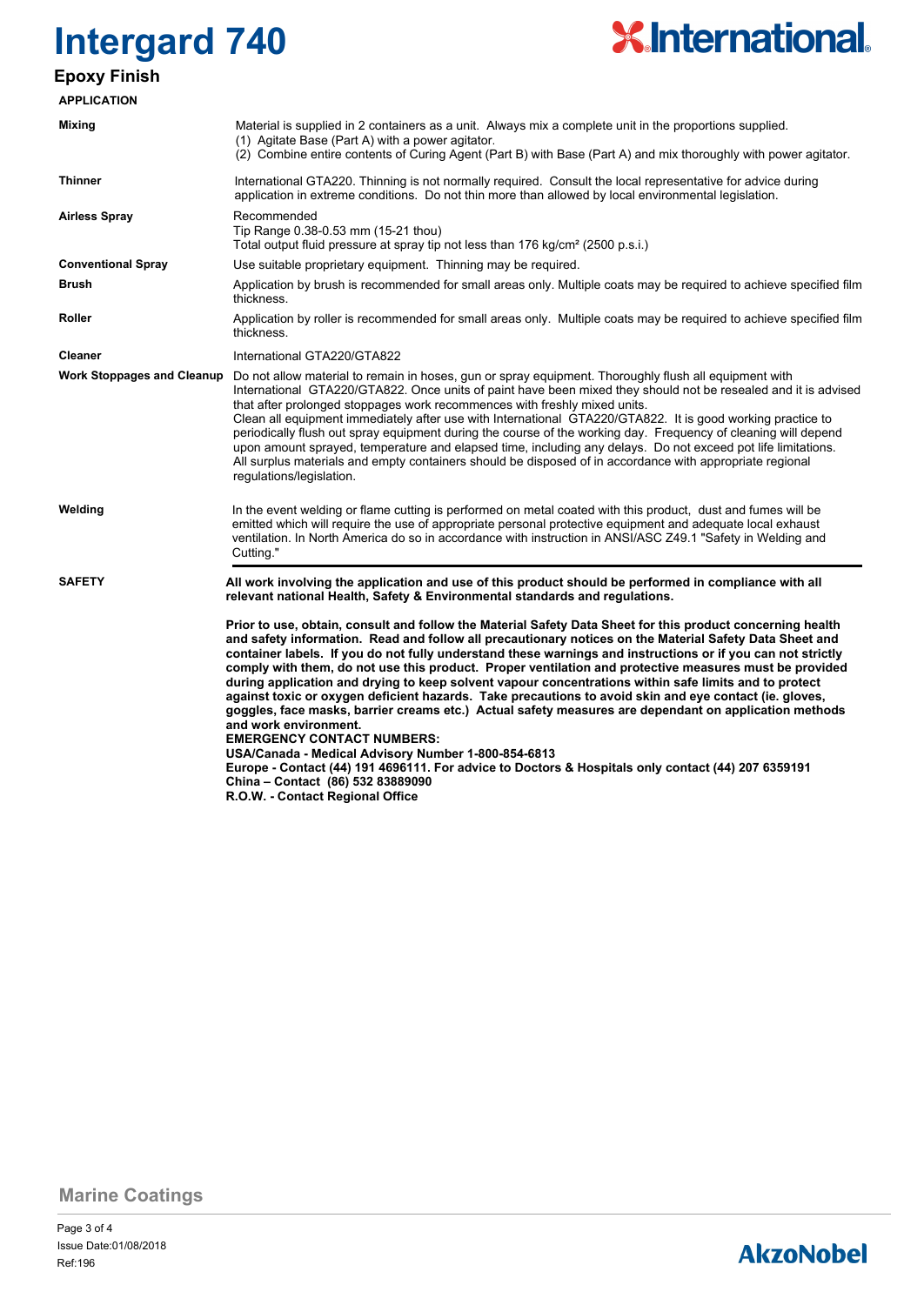## **Intergard 740 Epoxy Finish**

# **X.International.**

| <b>APPLICATION</b>                |                                                                                                                                                                                                                                                                                                                                                                                                                                                                                                                                                                                                                                                                                                                                                                                                                                                                                                                                                                                                                                                                                |  |  |  |
|-----------------------------------|--------------------------------------------------------------------------------------------------------------------------------------------------------------------------------------------------------------------------------------------------------------------------------------------------------------------------------------------------------------------------------------------------------------------------------------------------------------------------------------------------------------------------------------------------------------------------------------------------------------------------------------------------------------------------------------------------------------------------------------------------------------------------------------------------------------------------------------------------------------------------------------------------------------------------------------------------------------------------------------------------------------------------------------------------------------------------------|--|--|--|
| Mixing                            | Material is supplied in 2 containers as a unit. Always mix a complete unit in the proportions supplied.<br>(1) Agitate Base (Part A) with a power agitator.<br>(2) Combine entire contents of Curing Agent (Part B) with Base (Part A) and mix thoroughly with power agitator.                                                                                                                                                                                                                                                                                                                                                                                                                                                                                                                                                                                                                                                                                                                                                                                                 |  |  |  |
| <b>Thinner</b>                    | International GTA220. Thinning is not normally required. Consult the local representative for advice during<br>application in extreme conditions. Do not thin more than allowed by local environmental legislation.                                                                                                                                                                                                                                                                                                                                                                                                                                                                                                                                                                                                                                                                                                                                                                                                                                                            |  |  |  |
| <b>Airless Spray</b>              | Recommended<br>Tip Range 0.38-0.53 mm (15-21 thou)<br>Total output fluid pressure at spray tip not less than 176 kg/cm <sup>2</sup> (2500 p.s.i.)                                                                                                                                                                                                                                                                                                                                                                                                                                                                                                                                                                                                                                                                                                                                                                                                                                                                                                                              |  |  |  |
| <b>Conventional Spray</b>         | Use suitable proprietary equipment. Thinning may be required.                                                                                                                                                                                                                                                                                                                                                                                                                                                                                                                                                                                                                                                                                                                                                                                                                                                                                                                                                                                                                  |  |  |  |
| <b>Brush</b>                      | Application by brush is recommended for small areas only. Multiple coats may be required to achieve specified film<br>thickness.                                                                                                                                                                                                                                                                                                                                                                                                                                                                                                                                                                                                                                                                                                                                                                                                                                                                                                                                               |  |  |  |
| <b>Roller</b>                     | Application by roller is recommended for small areas only. Multiple coats may be required to achieve specified film<br>thickness.                                                                                                                                                                                                                                                                                                                                                                                                                                                                                                                                                                                                                                                                                                                                                                                                                                                                                                                                              |  |  |  |
| <b>Cleaner</b>                    | International GTA220/GTA822                                                                                                                                                                                                                                                                                                                                                                                                                                                                                                                                                                                                                                                                                                                                                                                                                                                                                                                                                                                                                                                    |  |  |  |
| <b>Work Stoppages and Cleanup</b> | Do not allow material to remain in hoses, gun or spray equipment. Thoroughly flush all equipment with<br>International GTA220/GTA822. Once units of paint have been mixed they should not be resealed and it is advised<br>that after prolonged stoppages work recommences with freshly mixed units.<br>Clean all equipment immediately after use with International GTA220/GTA822. It is good working practice to<br>periodically flush out spray equipment during the course of the working day. Frequency of cleaning will depend<br>upon amount sprayed, temperature and elapsed time, including any delays. Do not exceed pot life limitations.<br>All surplus materials and empty containers should be disposed of in accordance with appropriate regional<br>regulations/legislation.                                                                                                                                                                                                                                                                                   |  |  |  |
| Welding                           | In the event welding or flame cutting is performed on metal coated with this product, dust and fumes will be<br>emitted which will require the use of appropriate personal protective equipment and adequate local exhaust<br>ventilation. In North America do so in accordance with instruction in ANSI/ASC Z49.1 "Safety in Welding and<br>Cutting."                                                                                                                                                                                                                                                                                                                                                                                                                                                                                                                                                                                                                                                                                                                         |  |  |  |
| <b>SAFETY</b>                     | All work involving the application and use of this product should be performed in compliance with all<br>relevant national Health, Safety & Environmental standards and regulations.                                                                                                                                                                                                                                                                                                                                                                                                                                                                                                                                                                                                                                                                                                                                                                                                                                                                                           |  |  |  |
|                                   | Prior to use, obtain, consult and follow the Material Safety Data Sheet for this product concerning health<br>and safety information. Read and follow all precautionary notices on the Material Safety Data Sheet and<br>container labels. If you do not fully understand these warnings and instructions or if you can not strictly<br>comply with them, do not use this product. Proper ventilation and protective measures must be provided<br>during application and drying to keep solvent vapour concentrations within safe limits and to protect<br>against toxic or oxygen deficient hazards. Take precautions to avoid skin and eye contact (ie. gloves,<br>goggles, face masks, barrier creams etc.) Actual safety measures are dependant on application methods<br>and work environment.<br><b>EMERGENCY CONTACT NUMBERS:</b><br>USA/Canada - Medical Advisory Number 1-800-854-6813<br>Europe - Contact (44) 191 4696111. For advice to Doctors & Hospitals only contact (44) 207 6359191<br>China - Contact (86) 532 83889090<br>R.O.W. - Contact Regional Office |  |  |  |

**Marine Coatings**